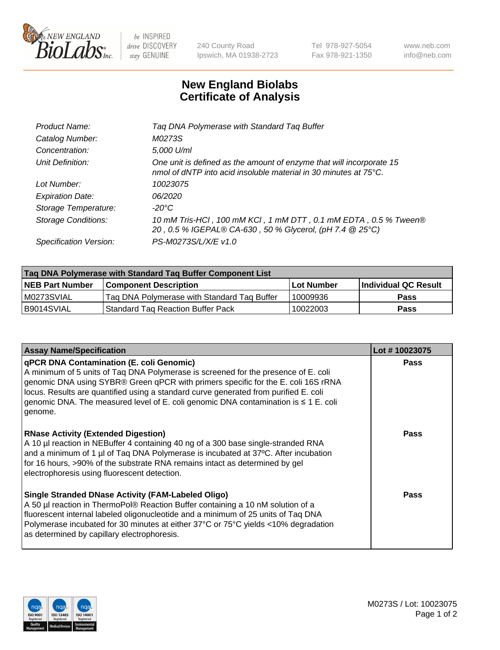

 $be$  INSPIRED drive DISCOVERY stay GENUINE

240 County Road Ipswich, MA 01938-2723 Tel 978-927-5054 Fax 978-921-1350 www.neb.com info@neb.com

## **New England Biolabs Certificate of Analysis**

| Product Name:              | Tag DNA Polymerase with Standard Tag Buffer                                                                                              |
|----------------------------|------------------------------------------------------------------------------------------------------------------------------------------|
| Catalog Number:            | M0273S                                                                                                                                   |
| Concentration:             | 5,000 U/ml                                                                                                                               |
| Unit Definition:           | One unit is defined as the amount of enzyme that will incorporate 15<br>nmol of dNTP into acid insoluble material in 30 minutes at 75°C. |
| Lot Number:                | 10023075                                                                                                                                 |
| <b>Expiration Date:</b>    | 06/2020                                                                                                                                  |
| Storage Temperature:       | $-20^{\circ}$ C                                                                                                                          |
| <b>Storage Conditions:</b> | 10 mM Tris-HCl, 100 mM KCl, 1 mM DTT, 0.1 mM EDTA, 0.5 % Tween®<br>20, 0.5 % IGEPAL® CA-630, 50 % Glycerol, (pH 7.4 @ 25°C)              |
| Specification Version:     | PS-M0273S/L/X/E v1.0                                                                                                                     |
|                            |                                                                                                                                          |

| Tag DNA Polymerase with Standard Tag Buffer Component List |                                             |                   |                      |  |
|------------------------------------------------------------|---------------------------------------------|-------------------|----------------------|--|
| <b>NEB Part Number</b>                                     | <b>Component Description</b>                | <b>Lot Number</b> | Individual QC Result |  |
| M0273SVIAL                                                 | Tag DNA Polymerase with Standard Tag Buffer | 10009936          | <b>Pass</b>          |  |
| B9014SVIAL                                                 | Standard Tag Reaction Buffer Pack           | 10022003          | <b>Pass</b>          |  |

| <b>Assay Name/Specification</b>                                                                                                                                                                                                                                                                                                                                                                                      | Lot #10023075 |
|----------------------------------------------------------------------------------------------------------------------------------------------------------------------------------------------------------------------------------------------------------------------------------------------------------------------------------------------------------------------------------------------------------------------|---------------|
| <b>qPCR DNA Contamination (E. coli Genomic)</b><br>A minimum of 5 units of Taq DNA Polymerase is screened for the presence of E. coli<br>genomic DNA using SYBR® Green qPCR with primers specific for the E. coli 16S rRNA<br>locus. Results are quantified using a standard curve generated from purified E. coli<br>genomic DNA. The measured level of E. coli genomic DNA contamination is ≤ 1 E. coli<br>genome. | <b>Pass</b>   |
| <b>RNase Activity (Extended Digestion)</b><br>A 10 µl reaction in NEBuffer 4 containing 40 ng of a 300 base single-stranded RNA<br>and a minimum of 1 µl of Taq DNA Polymerase is incubated at 37°C. After incubation<br>for 16 hours, >90% of the substrate RNA remains intact as determined by gel<br>electrophoresis using fluorescent detection.                                                                 | <b>Pass</b>   |
| <b>Single Stranded DNase Activity (FAM-Labeled Oligo)</b><br>A 50 µl reaction in ThermoPol® Reaction Buffer containing a 10 nM solution of a<br>fluorescent internal labeled oligonucleotide and a minimum of 25 units of Taq DNA<br>Polymerase incubated for 30 minutes at either 37°C or 75°C yields <10% degradation<br>as determined by capillary electrophoresis.                                               | <b>Pass</b>   |